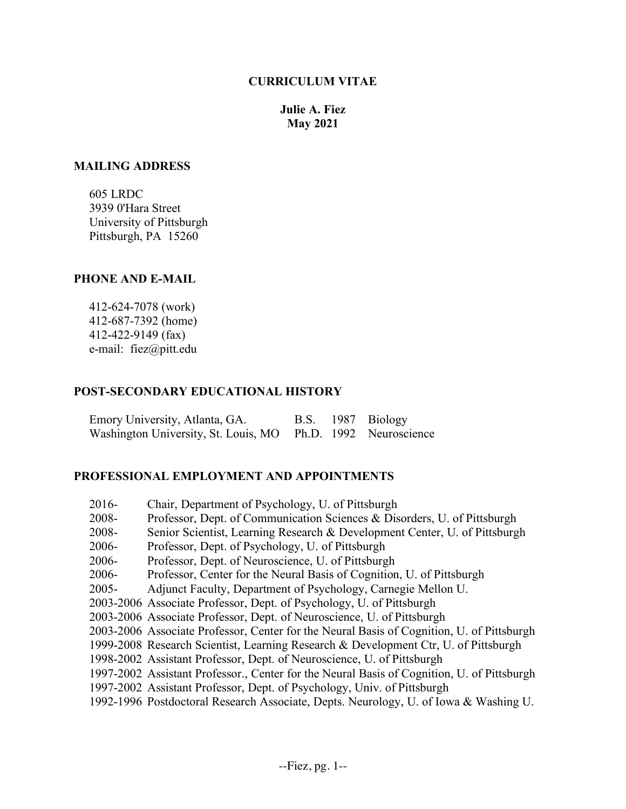# **CURRICULUM VITAE**

**Julie A. Fiez May 2021**

### **MAILING ADDRESS**

 605 LRDC 3939 0'Hara Street University of Pittsburgh Pittsburgh, PA 15260

### **PHONE AND E-MAIL**

 412-624-7078 (work) 412-687-7392 (home) 412-422-9149 (fax) e-mail: fiez@pitt.edu

## **POST-SECONDARY EDUCATIONAL HISTORY**

| Emory University, Atlanta, GA.                               |  | B.S. 1987 Biology |
|--------------------------------------------------------------|--|-------------------|
| Washington University, St. Louis, MO Ph.D. 1992 Neuroscience |  |                   |

### **PROFESSIONAL EMPLOYMENT AND APPOINTMENTS**

| $2016 -$ | Chair, Department of Psychology, U. of Pittsburgh                                          |
|----------|--------------------------------------------------------------------------------------------|
| 2008-    | Professor, Dept. of Communication Sciences & Disorders, U. of Pittsburgh                   |
| 2008-    | Senior Scientist, Learning Research & Development Center, U. of Pittsburgh                 |
| 2006-    | Professor, Dept. of Psychology, U. of Pittsburgh                                           |
| 2006-    | Professor, Dept. of Neuroscience, U. of Pittsburgh                                         |
| 2006-    | Professor, Center for the Neural Basis of Cognition, U. of Pittsburgh                      |
| $2005 -$ | Adjunct Faculty, Department of Psychology, Carnegie Mellon U.                              |
|          | 2003-2006 Associate Professor, Dept. of Psychology, U. of Pittsburgh                       |
|          | 2003-2006 Associate Professor, Dept. of Neuroscience, U. of Pittsburgh                     |
|          | 2003-2006 Associate Professor, Center for the Neural Basis of Cognition, U. of Pittsburgh  |
|          | 1999-2008 Research Scientist, Learning Research & Development Ctr, U. of Pittsburgh        |
|          | 1998-2002 Assistant Professor, Dept. of Neuroscience, U. of Pittsburgh                     |
|          | 1997-2002 Assistant Professor., Center for the Neural Basis of Cognition, U. of Pittsburgh |
|          | 1997-2002 Assistant Professor, Dept. of Psychology, Univ. of Pittsburgh                    |
|          | 1992-1996 Postdoctoral Research Associate, Depts. Neurology, U. of Iowa & Washing U.       |
|          |                                                                                            |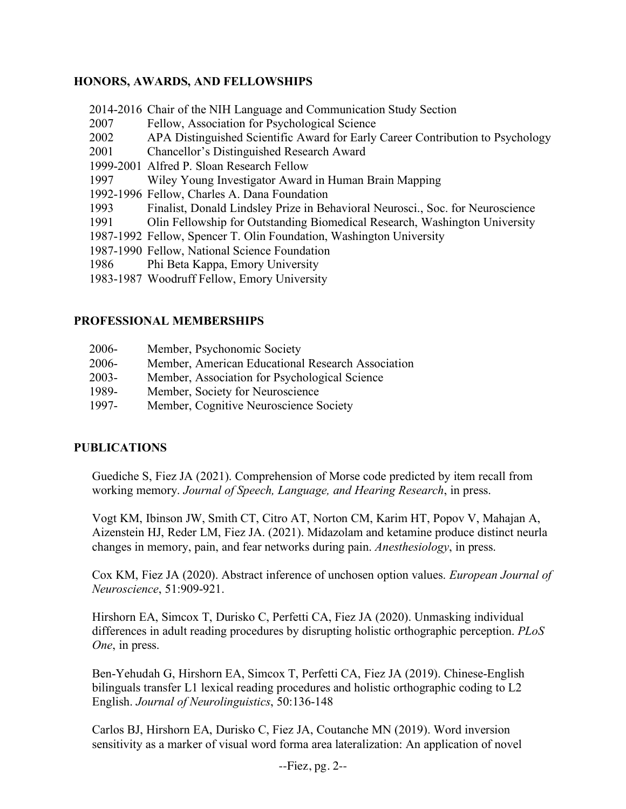# **HONORS, AWARDS, AND FELLOWSHIPS**

- 2014-2016 Chair of the NIH Language and Communication Study Section
- 2007 Fellow, Association for Psychological Science
- 2002 APA Distinguished Scientific Award for Early Career Contribution to Psychology
- 2001 Chancellor's Distinguished Research Award
- 1999-2001 Alfred P. Sloan Research Fellow
- 1997 Wiley Young Investigator Award in Human Brain Mapping
- 1992-1996 Fellow, Charles A. Dana Foundation
- 1993 Finalist, Donald Lindsley Prize in Behavioral Neurosci., Soc. for Neuroscience
- 1991 Olin Fellowship for Outstanding Biomedical Research, Washington University
- 1987-1992 Fellow, Spencer T. Olin Foundation, Washington University
- 1987-1990 Fellow, National Science Foundation
- 1986 Phi Beta Kappa, Emory University
- 1983-1987 Woodruff Fellow, Emory University

# **PROFESSIONAL MEMBERSHIPS**

- 2006- Member, Psychonomic Society
- 2006- Member, American Educational Research Association
- 2003- Member, Association for Psychological Science
- 1989- Member, Society for Neuroscience
- 1997- Member, Cognitive Neuroscience Society

# **PUBLICATIONS**

Guediche S, Fiez JA (2021). Comprehension of Morse code predicted by item recall from working memory. *Journal of Speech, Language, and Hearing Research*, in press.

Vogt KM, Ibinson JW, Smith CT, Citro AT, Norton CM, Karim HT, Popov V, Mahajan A, Aizenstein HJ, Reder LM, Fiez JA. (2021). Midazolam and ketamine produce distinct neurla changes in memory, pain, and fear networks during pain. *Anesthesiology*, in press.

Cox KM, Fiez JA (2020). Abstract inference of unchosen option values. *European Journal of Neuroscience*, 51:909-921.

Hirshorn EA, Simcox T, Durisko C, Perfetti CA, Fiez JA (2020). Unmasking individual differences in adult reading procedures by disrupting holistic orthographic perception. *PLoS One*, in press.

Ben-Yehudah G, Hirshorn EA, Simcox T, Perfetti CA, Fiez JA (2019). Chinese-English bilinguals transfer L1 lexical reading procedures and holistic orthographic coding to L2 English. *Journal of Neurolinguistics*, 50:136-148

Carlos BJ, Hirshorn EA, Durisko C, Fiez JA, Coutanche MN (2019). Word inversion sensitivity as a marker of visual word forma area lateralization: An application of novel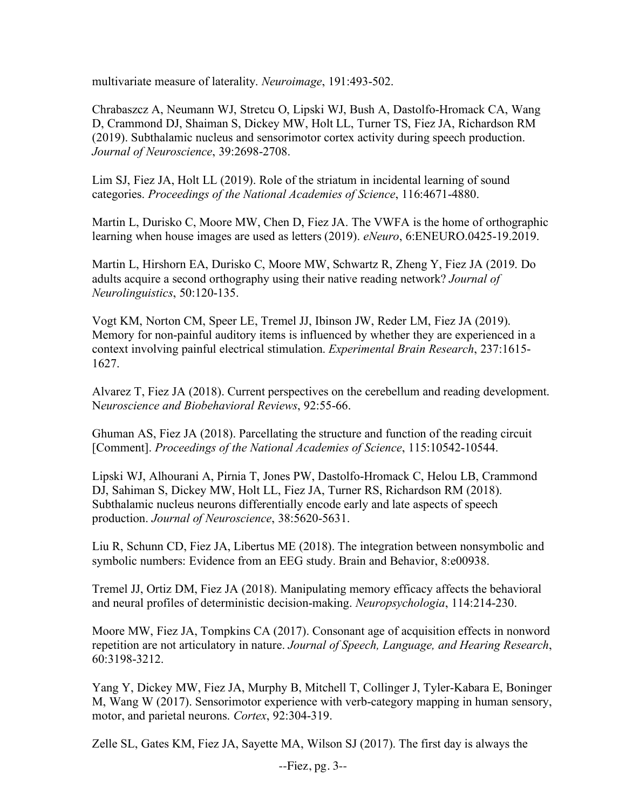multivariate measure of laterality. *Neuroimage*, 191:493-502.

Chrabaszcz A, Neumann WJ, Stretcu O, Lipski WJ, Bush A, Dastolfo-Hromack CA, Wang D, Crammond DJ, Shaiman S, Dickey MW, Holt LL, Turner TS, Fiez JA, Richardson RM (2019). Subthalamic nucleus and sensorimotor cortex activity during speech production. *Journal of Neuroscience*, 39:2698-2708.

Lim SJ, Fiez JA, Holt LL (2019). Role of the striatum in incidental learning of sound categories. *Proceedings of the National Academies of Science*, 116:4671-4880.

Martin L, Durisko C, Moore MW, Chen D, Fiez JA. The VWFA is the home of orthographic learning when house images are used as letters (2019). *eNeuro*, 6:ENEURO.0425-19.2019.

Martin L, Hirshorn EA, Durisko C, Moore MW, Schwartz R, Zheng Y, Fiez JA (2019. Do adults acquire a second orthography using their native reading network? *Journal of Neurolinguistics*, 50:120-135.

Vogt KM, Norton CM, Speer LE, Tremel JJ, Ibinson JW, Reder LM, Fiez JA (2019). Memory for non-painful auditory items is influenced by whether they are experienced in a context involving painful electrical stimulation. *Experimental Brain Research*, 237:1615- 1627.

Alvarez T, Fiez JA (2018). Current perspectives on the cerebellum and reading development. N*euroscience and Biobehavioral Reviews*, 92:55-66.

Ghuman AS, Fiez JA (2018). Parcellating the structure and function of the reading circuit [Comment]. *Proceedings of the National Academies of Science*, 115:10542-10544.

Lipski WJ, Alhourani A, Pirnia T, Jones PW, Dastolfo-Hromack C, Helou LB, Crammond DJ, Sahiman S, Dickey MW, Holt LL, Fiez JA, Turner RS, Richardson RM (2018). Subthalamic nucleus neurons differentially encode early and late aspects of speech production. *Journal of Neuroscience*, 38:5620-5631.

Liu R, Schunn CD, Fiez JA, Libertus ME (2018). The integration between nonsymbolic and symbolic numbers: Evidence from an EEG study. Brain and Behavior, 8:e00938.

Tremel JJ, Ortiz DM, Fiez JA (2018). Manipulating memory efficacy affects the behavioral and neural profiles of deterministic decision-making. *Neuropsychologia*, 114:214-230.

Moore MW, Fiez JA, Tompkins CA (2017). Consonant age of acquisition effects in nonword repetition are not articulatory in nature. *Journal of Speech, Language, and Hearing Research*, 60:3198-3212.

Yang Y, Dickey MW, Fiez JA, Murphy B, Mitchell T, Collinger J, Tyler-Kabara E, Boninger M, Wang W (2017). Sensorimotor experience with verb-category mapping in human sensory, motor, and parietal neurons. *Cortex*, 92:304-319.

Zelle SL, Gates KM, Fiez JA, Sayette MA, Wilson SJ (2017). The first day is always the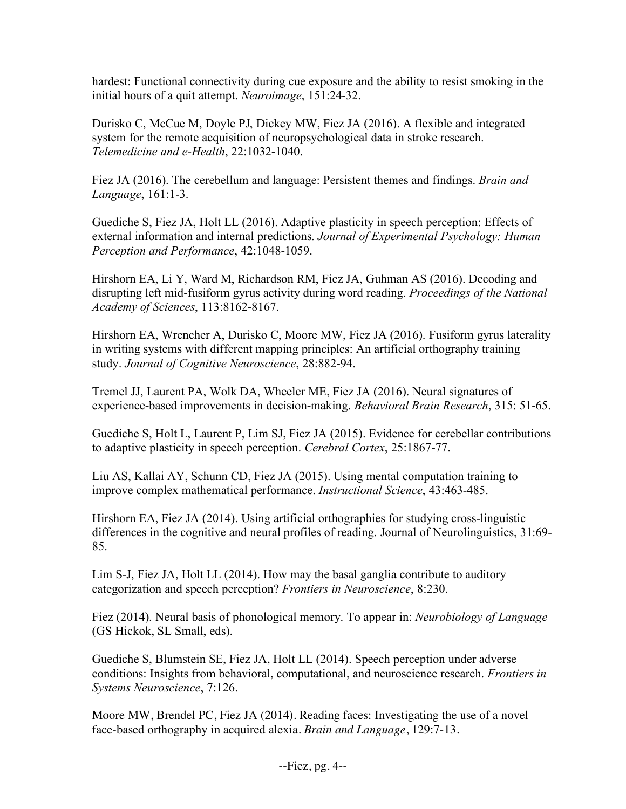hardest: Functional connectivity during cue exposure and the ability to resist smoking in the initial hours of a quit attempt. *Neuroimage*, 151:24-32.

Durisko C, McCue M, Doyle PJ, Dickey MW, Fiez JA (2016). A flexible and integrated system for the remote acquisition of neuropsychological data in stroke research. *Telemedicine and e-Health*, 22:1032-1040.

Fiez JA (2016). The cerebellum and language: Persistent themes and findings. *Brain and Language*, 161:1-3.

Guediche S, Fiez JA, Holt LL (2016). Adaptive plasticity in speech perception: Effects of external information and internal predictions. *Journal of Experimental Psychology: Human Perception and Performance*, 42:1048-1059.

Hirshorn EA, Li Y, Ward M, Richardson RM, Fiez JA, Guhman AS (2016). Decoding and disrupting left mid-fusiform gyrus activity during word reading. *Proceedings of the National Academy of Sciences*, 113:8162-8167.

Hirshorn EA, Wrencher A, Durisko C, Moore MW, Fiez JA (2016). Fusiform gyrus laterality in writing systems with different mapping principles: An artificial orthography training study. *Journal of Cognitive Neuroscience*, 28:882-94.

Tremel JJ, Laurent PA, Wolk DA, Wheeler ME, Fiez JA (2016). Neural signatures of experience-based improvements in decision-making. *Behavioral Brain Research*, 315: 51-65.

Guediche S, Holt L, Laurent P, Lim SJ, Fiez JA (2015). Evidence for cerebellar contributions to adaptive plasticity in speech perception. *Cerebral Cortex*, 25:1867-77.

Liu AS, Kallai AY, Schunn CD, Fiez JA (2015). Using mental computation training to improve complex mathematical performance. *Instructional Science*, 43:463-485.

Hirshorn EA, Fiez JA (2014). Using artificial orthographies for studying cross-linguistic differences in the cognitive and neural profiles of reading. Journal of Neurolinguistics, 31:69- 85.

Lim S-J, Fiez JA, Holt LL (2014). How may the basal ganglia contribute to auditory categorization and speech perception? *Frontiers in Neuroscience*, 8:230.

Fiez (2014). Neural basis of phonological memory. To appear in: *Neurobiology of Language* (GS Hickok, SL Small, eds).

Guediche S, Blumstein SE, Fiez JA, Holt LL (2014). Speech perception under adverse conditions: Insights from behavioral, computational, and neuroscience research. *Frontiers in Systems Neuroscience*, 7:126.

Moore MW, Brendel PC, Fiez JA (2014). Reading faces: Investigating the use of a novel face-based orthography in acquired alexia. *Brain and Language*, 129:7-13.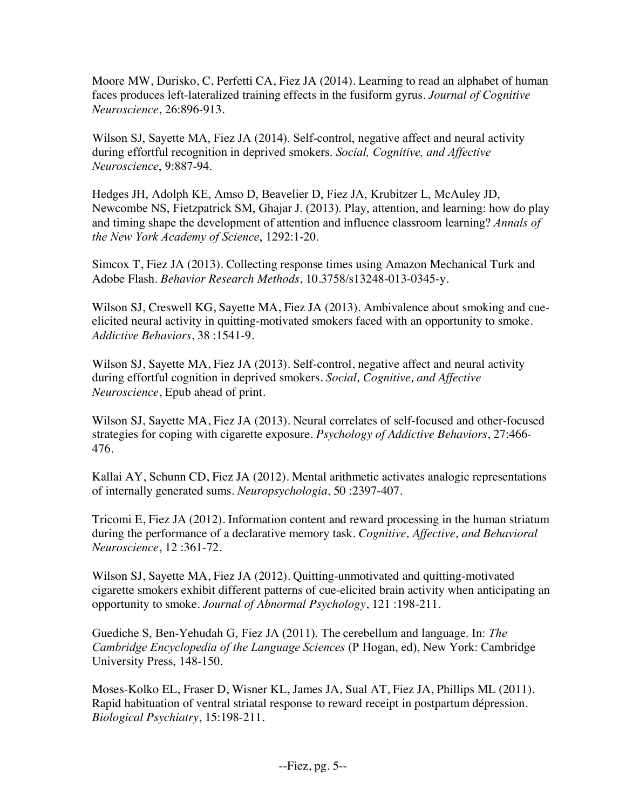Moore MW, Durisko, C, Perfetti CA, Fiez JA (2014). Learning to read an alphabet of human faces produces left-lateralized training effects in the fusiform gyrus. *Journal of Cognitive Neuroscience*, 26:896-913.

Wilson SJ, Sayette MA, Fiez JA (2014). Self-control, negative affect and neural activity during effortful recognition in deprived smokers. *Social, Cognitive, and Affective Neuroscience*, 9:887-94.

Hedges JH, Adolph KE, Amso D, Beavelier D, Fiez JA, Krubitzer L, McAuley JD, Newcombe NS, Fietzpatrick SM, Ghajar J. (2013). Play, attention, and learning: how do play and timing shape the development of attention and influence classroom learning? *Annals of the New York Academy of Science*, 1292:1-20.

Simcox T, Fiez JA (2013). Collecting response times using Amazon Mechanical Turk and Adobe Flash. *Behavior Research Methods*, 10.3758/s13248-013-0345-y.

Wilson SJ, Creswell KG, Sayette MA, Fiez JA (2013). Ambivalence about smoking and cueelicited neural activity in quitting-motivated smokers faced with an opportunity to smoke. *Addictive Behaviors*, 38 :1541-9.

Wilson SJ, Sayette MA, Fiez JA (2013). Self-control, negative affect and neural activity during effortful cognition in deprived smokers. *Social, Cognitive, and Affective Neuroscience*, Epub ahead of print.

Wilson SJ, Sayette MA, Fiez JA (2013). Neural correlates of self-focused and other-focused strategies for coping with cigarette exposure. *Psychology of Addictive Behaviors*, 27:466- 476.

Kallai AY, Schunn CD, Fiez JA (2012). Mental arithmetic activates analogic representations of internally generated sums. *Neuropsychologia*, 50 :2397-407.

Tricomi E, Fiez JA (2012). Information content and reward processing in the human striatum during the performance of a declarative memory task. *Cognitive, Affective, and Behavioral Neuroscience*, 12 :361-72.

Wilson SJ, Sayette MA, Fiez JA (2012). Quitting-unmotivated and quitting-motivated cigarette smokers exhibit different patterns of cue-elicited brain activity when anticipating an opportunity to smoke. *Journal of Abnormal Psychology*, 121 :198-211.

Guediche S, Ben-Yehudah G, Fiez JA (2011). The cerebellum and language. In: *The Cambridge Encyclopedia of the Language Sciences* (P Hogan, ed), New York: Cambridge University Press, 148-150.

Moses-Kolko EL, Fraser D, Wisner KL, James JA, Sual AT, Fiez JA, Phillips ML (2011). Rapid habituation of ventral striatal response to reward receipt in postpartum dépression. *Biological Psychiatry*, 15:198-211.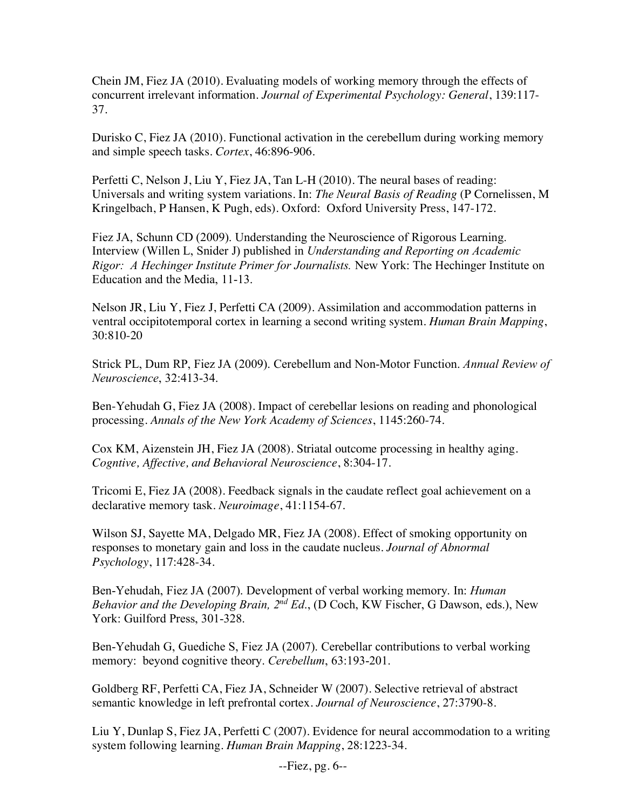Chein JM, Fiez JA (2010). Evaluating models of working memory through the effects of concurrent irrelevant information. *Journal of Experimental Psychology: General*, 139:117- 37.

Durisko C, Fiez JA (2010). Functional activation in the cerebellum during working memory and simple speech tasks. *Cortex*, 46:896-906.

Perfetti C, Nelson J, Liu Y, Fiez JA, Tan L-H (2010). The neural bases of reading: Universals and writing system variations. In: *The Neural Basis of Reading* (P Cornelissen, M Kringelbach, P Hansen, K Pugh, eds). Oxford: Oxford University Press, 147-172.

Fiez JA, Schunn CD (2009). Understanding the Neuroscience of Rigorous Learning. Interview (Willen L, Snider J) published in *Understanding and Reporting on Academic Rigor: A Hechinger Institute Primer for Journalists.* New York: The Hechinger Institute on Education and the Media, 11-13.

Nelson JR, Liu Y, Fiez J, Perfetti CA (2009). Assimilation and accommodation patterns in ventral occipitotemporal cortex in learning a second writing system. *Human Brain Mapping*, 30:810-20

Strick PL, Dum RP, Fiez JA (2009). Cerebellum and Non-Motor Function. *Annual Review of Neuroscience*, 32:413-34.

Ben-Yehudah G, Fiez JA (2008). Impact of cerebellar lesions on reading and phonological processing. *Annals of the New York Academy of Sciences*, 1145:260-74.

Cox KM, Aizenstein JH, Fiez JA (2008). Striatal outcome processing in healthy aging. *Cogntive, Affective, and Behavioral Neuroscience*, 8:304-17.

Tricomi E, Fiez JA (2008). Feedback signals in the caudate reflect goal achievement on a declarative memory task. *Neuroimage*, 41:1154-67.

Wilson SJ, Sayette MA, Delgado MR, Fiez JA (2008). Effect of smoking opportunity on responses to monetary gain and loss in the caudate nucleus. *Journal of Abnormal Psychology*, 117:428-34.

Ben-Yehudah, Fiez JA (2007). Development of verbal working memory. In: *Human Behavior and the Developing Brain, 2nd Ed*., (D Coch, KW Fischer, G Dawson, eds.), New York: Guilford Press, 301-328.

Ben-Yehudah G, Guediche S, Fiez JA (2007). Cerebellar contributions to verbal working memory: beyond cognitive theory. *Cerebellum*, 63:193-201.

Goldberg RF, Perfetti CA, Fiez JA, Schneider W (2007). Selective retrieval of abstract semantic knowledge in left prefrontal cortex. *Journal of Neuroscience*, 27:3790-8.

Liu Y, Dunlap S, Fiez JA, Perfetti C (2007). Evidence for neural accommodation to a writing system following learning. *Human Brain Mapping*, 28:1223-34.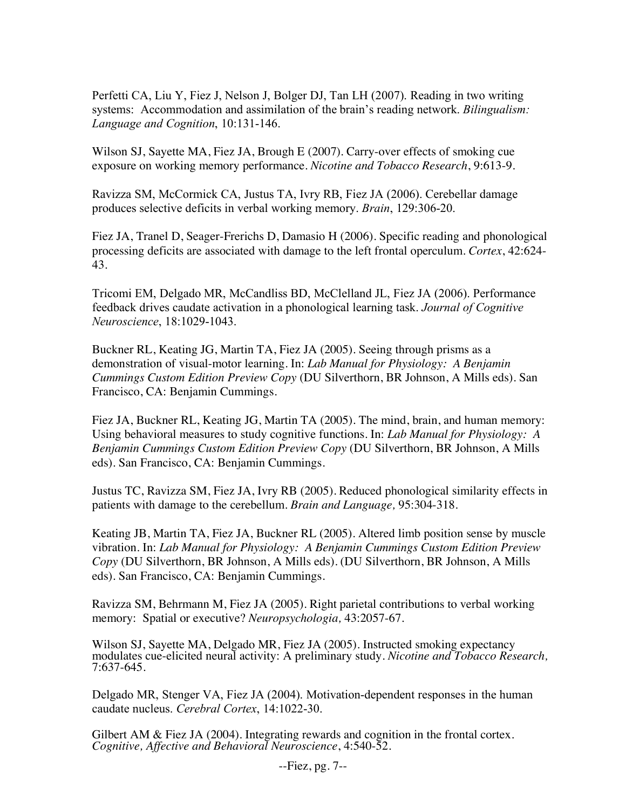Perfetti CA, Liu Y, Fiez J, Nelson J, Bolger DJ, Tan LH (2007). Reading in two writing systems: Accommodation and assimilation of the brain's reading network. *Bilingualism: Language and Cognition*, 10:131-146.

Wilson SJ, Sayette MA, Fiez JA, Brough E (2007). Carry-over effects of smoking cue exposure on working memory performance. *Nicotine and Tobacco Research*, 9:613-9.

Ravizza SM, McCormick CA, Justus TA, Ivry RB, Fiez JA (2006). Cerebellar damage produces selective deficits in verbal working memory. *Brain*, 129:306-20.

Fiez JA, Tranel D, Seager-Frerichs D, Damasio H (2006). Specific reading and phonological processing deficits are associated with damage to the left frontal operculum. *Cortex*, 42:624- 43.

Tricomi EM, Delgado MR, McCandliss BD, McClelland JL, Fiez JA (2006). Performance feedback drives caudate activation in a phonological learning task. *Journal of Cognitive Neuroscience*, 18:1029-1043.

Buckner RL, Keating JG, Martin TA, Fiez JA (2005). Seeing through prisms as a demonstration of visual-motor learning. In: *Lab Manual for Physiology: A Benjamin Cummings Custom Edition Preview Copy* (DU Silverthorn, BR Johnson, A Mills eds). San Francisco, CA: Benjamin Cummings.

Fiez JA, Buckner RL, Keating JG, Martin TA (2005). The mind, brain, and human memory: Using behavioral measures to study cognitive functions. In: *Lab Manual for Physiology: A Benjamin Cummings Custom Edition Preview Copy* (DU Silverthorn, BR Johnson, A Mills eds). San Francisco, CA: Benjamin Cummings.

Justus TC, Ravizza SM, Fiez JA, Ivry RB (2005). Reduced phonological similarity effects in patients with damage to the cerebellum. *Brain and Language,* 95:304-318.

Keating JB, Martin TA, Fiez JA, Buckner RL (2005). Altered limb position sense by muscle vibration. In: *Lab Manual for Physiology: A Benjamin Cummings Custom Edition Preview Copy* (DU Silverthorn, BR Johnson, A Mills eds). (DU Silverthorn, BR Johnson, A Mills eds). San Francisco, CA: Benjamin Cummings.

Ravizza SM, Behrmann M, Fiez JA (2005). Right parietal contributions to verbal working memory: Spatial or executive? *Neuropsychologia,* 43:2057-67.

Wilson SJ, Sayette MA, Delgado MR, Fiez JA (2005). Instructed smoking expectancy modulates cue-elicited neural activity: A preliminary study. *Nicotine and Tobacco Research,* 7:637-645.

Delgado MR, Stenger VA, Fiez JA (2004). Motivation-dependent responses in the human caudate nucleus. *Cerebral Cortex*, 14:1022-30.

Gilbert AM & Fiez JA (2004). Integrating rewards and cognition in the frontal cortex. *Cognitive, Affective and Behavioral Neuroscience*, 4:540-52*.*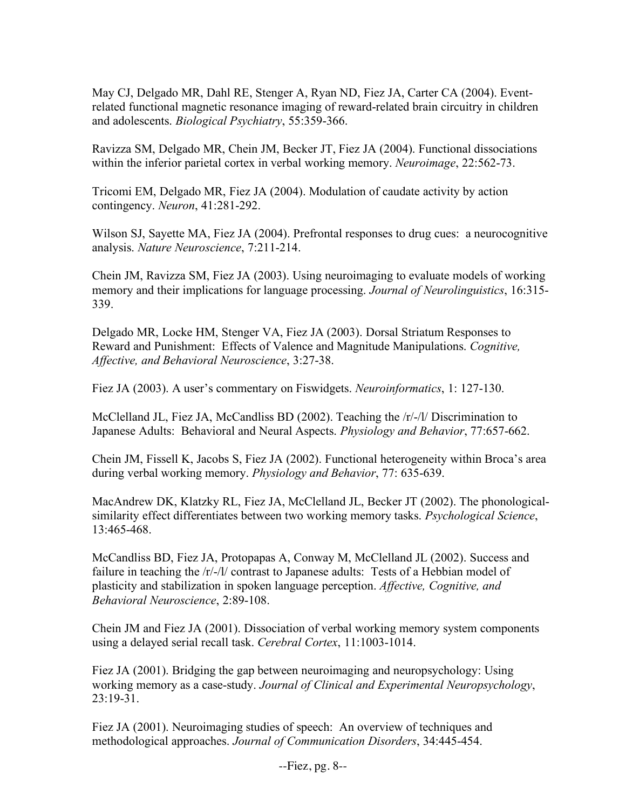May CJ, Delgado MR, Dahl RE, Stenger A, Ryan ND, Fiez JA, Carter CA (2004). Eventrelated functional magnetic resonance imaging of reward-related brain circuitry in children and adolescents. *Biological Psychiatry*, 55:359-366.

Ravizza SM, Delgado MR, Chein JM, Becker JT, Fiez JA (2004). Functional dissociations within the inferior parietal cortex in verbal working memory. *Neuroimage*, 22:562-73.

Tricomi EM, Delgado MR, Fiez JA (2004). Modulation of caudate activity by action contingency. *Neuron*, 41:281-292.

Wilson SJ, Sayette MA, Fiez JA (2004). Prefrontal responses to drug cues: a neurocognitive analysis. *Nature Neuroscience*, 7:211-214.

Chein JM, Ravizza SM, Fiez JA (2003). Using neuroimaging to evaluate models of working memory and their implications for language processing. *Journal of Neurolinguistics*, 16:315- 339.

Delgado MR, Locke HM, Stenger VA, Fiez JA (2003). Dorsal Striatum Responses to Reward and Punishment: Effects of Valence and Magnitude Manipulations. *Cognitive, Affective, and Behavioral Neuroscience*, 3:27-38.

Fiez JA (2003). A user's commentary on Fiswidgets. *Neuroinformatics*, 1: 127-130.

McClelland JL, Fiez JA, McCandliss BD (2002). Teaching the /r/-/l/ Discrimination to Japanese Adults: Behavioral and Neural Aspects. *Physiology and Behavior*, 77:657-662.

Chein JM, Fissell K, Jacobs S, Fiez JA (2002). Functional heterogeneity within Broca's area during verbal working memory. *Physiology and Behavior*, 77: 635-639.

MacAndrew DK, Klatzky RL, Fiez JA, McClelland JL, Becker JT (2002). The phonologicalsimilarity effect differentiates between two working memory tasks. *Psychological Science*, 13:465-468.

McCandliss BD, Fiez JA, Protopapas A, Conway M, McClelland JL (2002). Success and failure in teaching the /r/-/l/ contrast to Japanese adults: Tests of a Hebbian model of plasticity and stabilization in spoken language perception. *Affective, Cognitive, and Behavioral Neuroscience*, 2:89-108.

Chein JM and Fiez JA (2001). Dissociation of verbal working memory system components using a delayed serial recall task. *Cerebral Cortex*, 11:1003-1014.

Fiez JA (2001). Bridging the gap between neuroimaging and neuropsychology: Using working memory as a case-study. *Journal of Clinical and Experimental Neuropsychology*,  $23:19-31$ .

Fiez JA (2001). Neuroimaging studies of speech: An overview of techniques and methodological approaches. *Journal of Communication Disorders*, 34:445-454.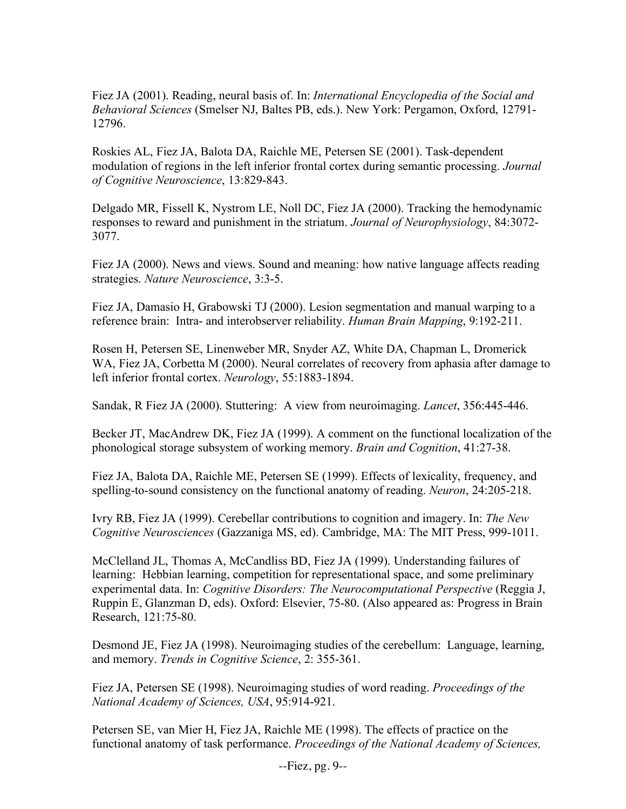Fiez JA (2001). Reading, neural basis of. In: *International Encyclopedia of the Social and Behavioral Sciences* (Smelser NJ, Baltes PB, eds.). New York: Pergamon, Oxford, 12791- 12796.

Roskies AL, Fiez JA, Balota DA, Raichle ME, Petersen SE (2001). Task-dependent modulation of regions in the left inferior frontal cortex during semantic processing. *Journal of Cognitive Neuroscience*, 13:829-843.

Delgado MR, Fissell K, Nystrom LE, Noll DC, Fiez JA (2000). Tracking the hemodynamic responses to reward and punishment in the striatum. *Journal of Neurophysiology*, 84:3072- 3077.

Fiez JA (2000). News and views. Sound and meaning: how native language affects reading strategies. *Nature Neuroscience*, 3:3-5.

Fiez JA, Damasio H, Grabowski TJ (2000). Lesion segmentation and manual warping to a reference brain: Intra- and interobserver reliability. *Human Brain Mapping*, 9:192-211.

Rosen H, Petersen SE, Linenweber MR, Snyder AZ, White DA, Chapman L, Dromerick WA, Fiez JA, Corbetta M (2000). Neural correlates of recovery from aphasia after damage to left inferior frontal cortex. *Neurology*, 55:1883-1894.

Sandak, R Fiez JA (2000). Stuttering: A view from neuroimaging. *Lancet*, 356:445-446.

Becker JT, MacAndrew DK, Fiez JA (1999). A comment on the functional localization of the phonological storage subsystem of working memory. *Brain and Cognition*, 41:27-38.

Fiez JA, Balota DA, Raichle ME, Petersen SE (1999). Effects of lexicality, frequency, and spelling-to-sound consistency on the functional anatomy of reading. *Neuron*, 24:205-218.

Ivry RB, Fiez JA (1999). Cerebellar contributions to cognition and imagery. In: *The New Cognitive Neurosciences* (Gazzaniga MS, ed). Cambridge, MA: The MIT Press, 999-1011.

McClelland JL, Thomas A, McCandliss BD, Fiez JA (1999). Understanding failures of learning: Hebbian learning, competition for representational space, and some preliminary experimental data. In: *Cognitive Disorders: The Neurocomputational Perspective* (Reggia J, Ruppin E, Glanzman D, eds). Oxford: Elsevier, 75-80. (Also appeared as: Progress in Brain Research, 121:75-80.

Desmond JE, Fiez JA (1998). Neuroimaging studies of the cerebellum: Language, learning, and memory. *Trends in Cognitive Science*, 2: 355-361.

Fiez JA, Petersen SE (1998). Neuroimaging studies of word reading. *Proceedings of the National Academy of Sciences, USA*, 95:914-921.

Petersen SE, van Mier H, Fiez JA, Raichle ME (1998). The effects of practice on the functional anatomy of task performance. *Proceedings of the National Academy of Sciences,*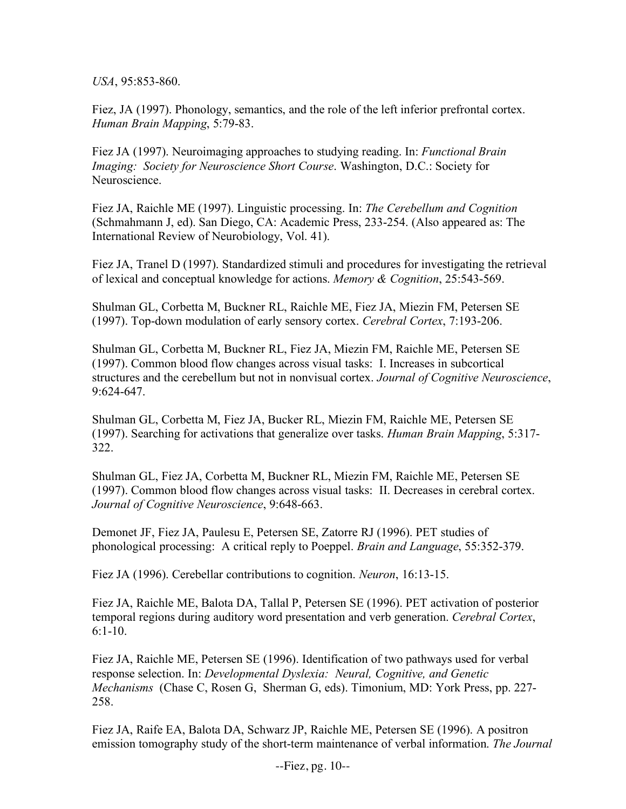*USA*, 95:853-860.

Fiez, JA (1997). Phonology, semantics, and the role of the left inferior prefrontal cortex. *Human Brain Mapping*, 5:79-83.

Fiez JA (1997). Neuroimaging approaches to studying reading. In: *Functional Brain Imaging: Society for Neuroscience Short Course*. Washington, D.C.: Society for Neuroscience.

Fiez JA, Raichle ME (1997). Linguistic processing. In: *The Cerebellum and Cognition*  (Schmahmann J, ed). San Diego, CA: Academic Press, 233-254. (Also appeared as: The International Review of Neurobiology, Vol. 41).

Fiez JA, Tranel D (1997). Standardized stimuli and procedures for investigating the retrieval of lexical and conceptual knowledge for actions. *Memory & Cognition*, 25:543-569.

Shulman GL, Corbetta M, Buckner RL, Raichle ME, Fiez JA, Miezin FM, Petersen SE (1997). Top-down modulation of early sensory cortex. *Cerebral Cortex*, 7:193-206.

Shulman GL, Corbetta M, Buckner RL, Fiez JA, Miezin FM, Raichle ME, Petersen SE (1997). Common blood flow changes across visual tasks: I. Increases in subcortical structures and the cerebellum but not in nonvisual cortex. *Journal of Cognitive Neuroscience*, 9:624-647.

Shulman GL, Corbetta M, Fiez JA, Bucker RL, Miezin FM, Raichle ME, Petersen SE (1997). Searching for activations that generalize over tasks. *Human Brain Mapping*, 5:317- 322.

Shulman GL, Fiez JA, Corbetta M, Buckner RL, Miezin FM, Raichle ME, Petersen SE (1997). Common blood flow changes across visual tasks: II. Decreases in cerebral cortex. *Journal of Cognitive Neuroscience*, 9:648-663.

Demonet JF, Fiez JA, Paulesu E, Petersen SE, Zatorre RJ (1996). PET studies of phonological processing: A critical reply to Poeppel. *Brain and Language*, 55:352-379.

Fiez JA (1996). Cerebellar contributions to cognition. *Neuron*, 16:13-15.

Fiez JA, Raichle ME, Balota DA, Tallal P, Petersen SE (1996). PET activation of posterior temporal regions during auditory word presentation and verb generation. *Cerebral Cortex*,  $6:1-10.$ 

Fiez JA, Raichle ME, Petersen SE (1996). Identification of two pathways used for verbal response selection. In: *Developmental Dyslexia: Neural, Cognitive, and Genetic Mechanisms* (Chase C, Rosen G, Sherman G, eds). Timonium, MD: York Press, pp. 227- 258.

Fiez JA, Raife EA, Balota DA, Schwarz JP, Raichle ME, Petersen SE (1996). A positron emission tomography study of the short-term maintenance of verbal information. *The Journal*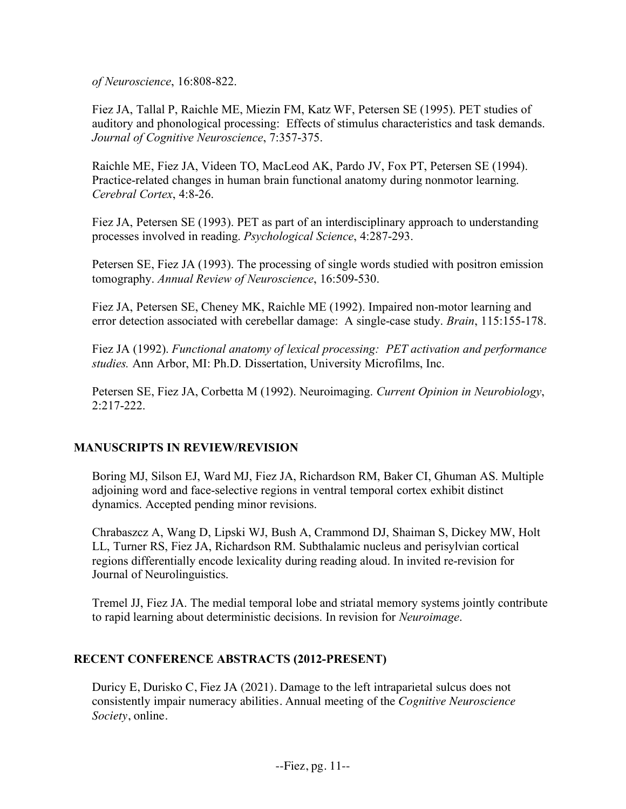*of Neuroscience*, 16:808-822.

Fiez JA, Tallal P, Raichle ME, Miezin FM, Katz WF, Petersen SE (1995). PET studies of auditory and phonological processing: Effects of stimulus characteristics and task demands. *Journal of Cognitive Neuroscience*, 7:357-375.

Raichle ME, Fiez JA, Videen TO, MacLeod AK, Pardo JV, Fox PT, Petersen SE (1994). Practice-related changes in human brain functional anatomy during nonmotor learning. *Cerebral Cortex*, 4:8-26.

Fiez JA, Petersen SE (1993). PET as part of an interdisciplinary approach to understanding processes involved in reading. *Psychological Science*, 4:287-293.

Petersen SE, Fiez JA (1993). The processing of single words studied with positron emission tomography. *Annual Review of Neuroscience*, 16:509-530.

Fiez JA, Petersen SE, Cheney MK, Raichle ME (1992). Impaired non-motor learning and error detection associated with cerebellar damage: A single-case study. *Brain*, 115:155-178.

Fiez JA (1992). *Functional anatomy of lexical processing: PET activation and performance studies.* Ann Arbor, MI: Ph.D. Dissertation, University Microfilms, Inc.

Petersen SE, Fiez JA, Corbetta M (1992). Neuroimaging. *Current Opinion in Neurobiology*, 2:217-222.

# **MANUSCRIPTS IN REVIEW/REVISION**

Boring MJ, Silson EJ, Ward MJ, Fiez JA, Richardson RM, Baker CI, Ghuman AS. Multiple adjoining word and face-selective regions in ventral temporal cortex exhibit distinct dynamics. Accepted pending minor revisions.

Chrabaszcz A, Wang D, Lipski WJ, Bush A, Crammond DJ, Shaiman S, Dickey MW, Holt LL, Turner RS, Fiez JA, Richardson RM. Subthalamic nucleus and perisylvian cortical regions differentially encode lexicality during reading aloud. In invited re-revision for Journal of Neurolinguistics.

Tremel JJ, Fiez JA. The medial temporal lobe and striatal memory systems jointly contribute to rapid learning about deterministic decisions. In revision for *Neuroimage*.

# **RECENT CONFERENCE ABSTRACTS (2012-PRESENT)**

Duricy E, Durisko C, Fiez JA (2021). Damage to the left intraparietal sulcus does not consistently impair numeracy abilities. Annual meeting of the *Cognitive Neuroscience Society*, online.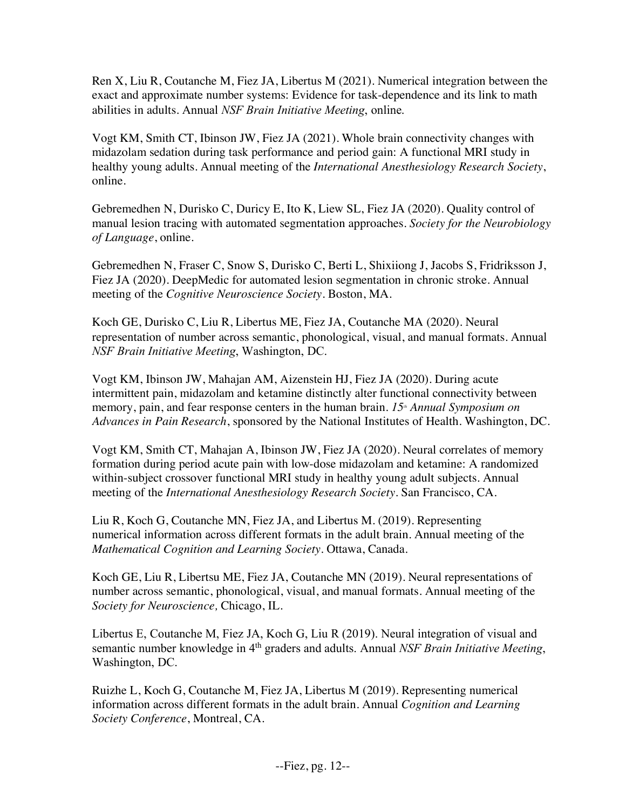Ren X, Liu R, Coutanche M, Fiez JA, Libertus M (2021). Numerical integration between the exact and approximate number systems: Evidence for task-dependence and its link to math abilities in adults. Annual *NSF Brain Initiative Meeting*, online.

Vogt KM, Smith CT, Ibinson JW, Fiez JA (2021). Whole brain connectivity changes with midazolam sedation during task performance and period gain: A functional MRI study in healthy young adults. Annual meeting of the *International Anesthesiology Research Society*, online.

Gebremedhen N, Durisko C, Duricy E, Ito K, Liew SL, Fiez JA (2020). Quality control of manual lesion tracing with automated segmentation approaches. *Society for the Neurobiology of Language*, online.

Gebremedhen N, Fraser C, Snow S, Durisko C, Berti L, Shixiiong J, Jacobs S, Fridriksson J, Fiez JA (2020). DeepMedic for automated lesion segmentation in chronic stroke. Annual meeting of the *Cognitive Neuroscience Society*. Boston, MA.

Koch GE, Durisko C, Liu R, Libertus ME, Fiez JA, Coutanche MA (2020). Neural representation of number across semantic, phonological, visual, and manual formats. Annual *NSF Brain Initiative Meeting*, Washington, DC.

Vogt KM, Ibinson JW, Mahajan AM, Aizenstein HJ, Fiez JA (2020). During acute intermittent pain, midazolam and ketamine distinctly alter functional connectivity between memory, pain, and fear response centers in the human brain. 15<sup>th</sup> *Annual Symposium on Advances in Pain Research*, sponsored by the National Institutes of Health. Washington, DC.

Vogt KM, Smith CT, Mahajan A, Ibinson JW, Fiez JA (2020). Neural correlates of memory formation during period acute pain with low-dose midazolam and ketamine: A randomized within-subject crossover functional MRI study in healthy young adult subjects. Annual meeting of the *International Anesthesiology Research Society*. San Francisco, CA.

Liu R, Koch G, Coutanche MN, Fiez JA, and Libertus M. (2019). Representing numerical information across different formats in the adult brain. Annual meeting of the *Mathematical Cognition and Learning Society*. Ottawa, Canada.

Koch GE, Liu R, Libertsu ME, Fiez JA, Coutanche MN (2019). Neural representations of number across semantic, phonological, visual, and manual formats. Annual meeting of the *Society for Neuroscience,* Chicago, IL.

Libertus E, Coutanche M, Fiez JA, Koch G, Liu R (2019). Neural integration of visual and semantic number knowledge in 4<sup>th</sup> graders and adults. Annual *NSF Brain Initiative Meeting*, Washington, DC.

Ruizhe L, Koch G, Coutanche M, Fiez JA, Libertus M (2019). Representing numerical information across different formats in the adult brain. Annual *Cognition and Learning Society Conference*, Montreal, CA.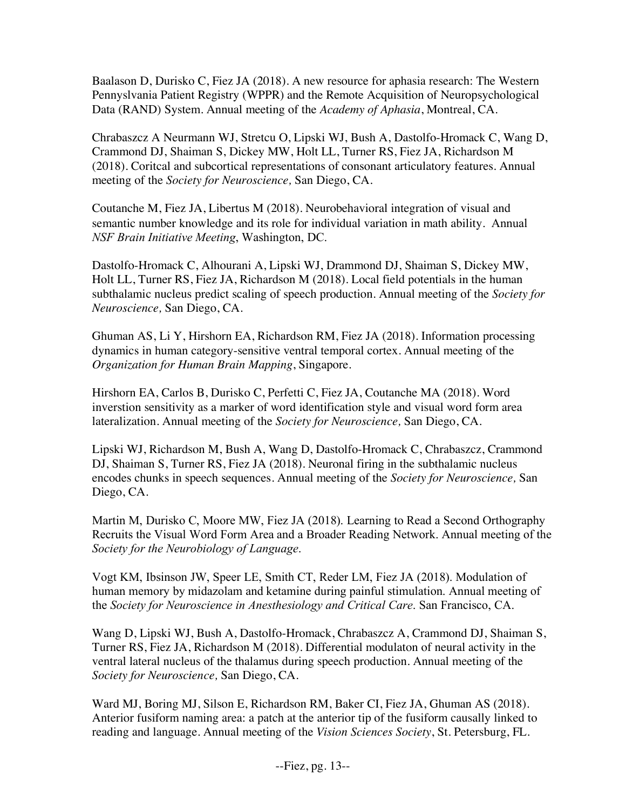Baalason D, Durisko C, Fiez JA (2018). A new resource for aphasia research: The Western Pennyslvania Patient Registry (WPPR) and the Remote Acquisition of Neuropsychological Data (RAND) System. Annual meeting of the *Academy of Aphasia*, Montreal, CA.

Chrabaszcz A Neurmann WJ, Stretcu O, Lipski WJ, Bush A, Dastolfo-Hromack C, Wang D, Crammond DJ, Shaiman S, Dickey MW, Holt LL, Turner RS, Fiez JA, Richardson M (2018). Coritcal and subcortical representations of consonant articulatory features. Annual meeting of the *Society for Neuroscience,* San Diego, CA.

Coutanche M, Fiez JA, Libertus M (2018). Neurobehavioral integration of visual and semantic number knowledge and its role for individual variation in math ability. Annual *NSF Brain Initiative Meeting*, Washington, DC.

Dastolfo-Hromack C, Alhourani A, Lipski WJ, Drammond DJ, Shaiman S, Dickey MW, Holt LL, Turner RS, Fiez JA, Richardson M (2018). Local field potentials in the human subthalamic nucleus predict scaling of speech production. Annual meeting of the *Society for Neuroscience,* San Diego, CA.

Ghuman AS, Li Y, Hirshorn EA, Richardson RM, Fiez JA (2018). Information processing dynamics in human category-sensitive ventral temporal cortex. Annual meeting of the *Organization for Human Brain Mapping*, Singapore.

Hirshorn EA, Carlos B, Durisko C, Perfetti C, Fiez JA, Coutanche MA (2018). Word inverstion sensitivity as a marker of word identification style and visual word form area lateralization. Annual meeting of the *Society for Neuroscience,* San Diego, CA.

Lipski WJ, Richardson M, Bush A, Wang D, Dastolfo-Hromack C, Chrabaszcz, Crammond DJ, Shaiman S, Turner RS, Fiez JA (2018). Neuronal firing in the subthalamic nucleus encodes chunks in speech sequences. Annual meeting of the *Society for Neuroscience,* San Diego, CA.

Martin M, Durisko C, Moore MW, Fiez JA (2018). Learning to Read a Second Orthography Recruits the Visual Word Form Area and a Broader Reading Network. Annual meeting of the *Society for the Neurobiology of Language*.

Vogt KM, Ibsinson JW, Speer LE, Smith CT, Reder LM, Fiez JA (2018). Modulation of human memory by midazolam and ketamine during painful stimulation. Annual meeting of the *Society for Neuroscience in Anesthesiology and Critical Care*. San Francisco, CA.

Wang D, Lipski WJ, Bush A, Dastolfo-Hromack, Chrabaszcz A, Crammond DJ, Shaiman S, Turner RS, Fiez JA, Richardson M (2018). Differential modulaton of neural activity in the ventral lateral nucleus of the thalamus during speech production. Annual meeting of the *Society for Neuroscience,* San Diego, CA.

Ward MJ, Boring MJ, Silson E, Richardson RM, Baker CI, Fiez JA, Ghuman AS (2018). Anterior fusiform naming area: a patch at the anterior tip of the fusiform causally linked to reading and language. Annual meeting of the *Vision Sciences Society*, St. Petersburg, FL.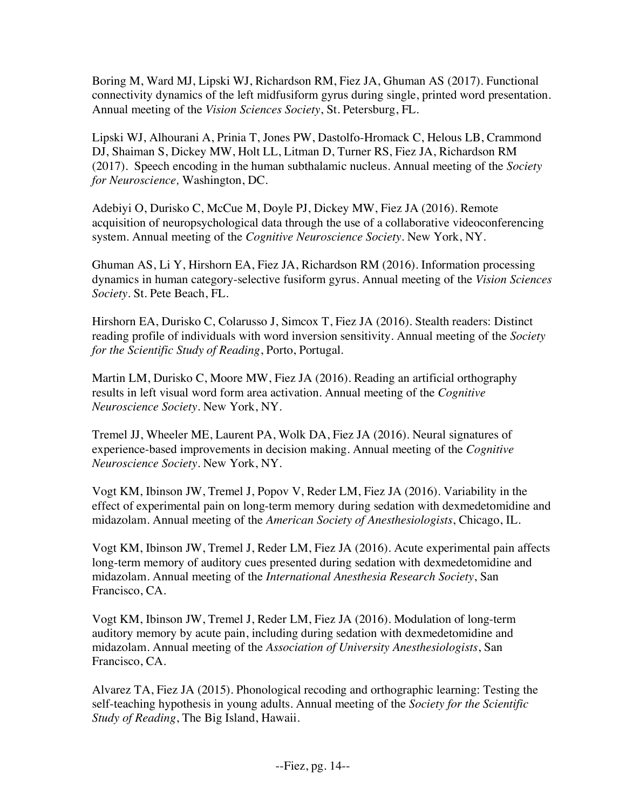Boring M, Ward MJ, Lipski WJ, Richardson RM, Fiez JA, Ghuman AS (2017). Functional connectivity dynamics of the left midfusiform gyrus during single, printed word presentation. Annual meeting of the *Vision Sciences Society*, St. Petersburg, FL.

Lipski WJ, Alhourani A, Prinia T, Jones PW, Dastolfo-Hromack C, Helous LB, Crammond DJ, Shaiman S, Dickey MW, Holt LL, Litman D, Turner RS, Fiez JA, Richardson RM (2017). Speech encoding in the human subthalamic nucleus. Annual meeting of the *Society for Neuroscience,* Washington, DC.

Adebiyi O, Durisko C, McCue M, Doyle PJ, Dickey MW, Fiez JA (2016). Remote acquisition of neuropsychological data through the use of a collaborative videoconferencing system. Annual meeting of the *Cognitive Neuroscience Society*. New York, NY.

Ghuman AS, Li Y, Hirshorn EA, Fiez JA, Richardson RM (2016). Information processing dynamics in human category-selective fusiform gyrus. Annual meeting of the *Vision Sciences Society*. St. Pete Beach, FL.

Hirshorn EA, Durisko C, Colarusso J, Simcox T, Fiez JA (2016). Stealth readers: Distinct reading profile of individuals with word inversion sensitivity. Annual meeting of the *Society for the Scientific Study of Reading*, Porto, Portugal.

Martin LM, Durisko C, Moore MW, Fiez JA (2016). Reading an artificial orthography results in left visual word form area activation. Annual meeting of the *Cognitive Neuroscience Society*. New York, NY.

Tremel JJ, Wheeler ME, Laurent PA, Wolk DA, Fiez JA (2016). Neural signatures of experience-based improvements in decision making. Annual meeting of the *Cognitive Neuroscience Society*. New York, NY.

Vogt KM, Ibinson JW, Tremel J, Popov V, Reder LM, Fiez JA (2016). Variability in the effect of experimental pain on long-term memory during sedation with dexmedetomidine and midazolam. Annual meeting of the *American Society of Anesthesiologists*, Chicago, IL.

Vogt KM, Ibinson JW, Tremel J, Reder LM, Fiez JA (2016). Acute experimental pain affects long-term memory of auditory cues presented during sedation with dexmedetomidine and midazolam. Annual meeting of the *International Anesthesia Research Society*, San Francisco, CA.

Vogt KM, Ibinson JW, Tremel J, Reder LM, Fiez JA (2016). Modulation of long-term auditory memory by acute pain, including during sedation with dexmedetomidine and midazolam. Annual meeting of the *Association of University Anesthesiologists*, San Francisco, CA.

Alvarez TA, Fiez JA (2015). Phonological recoding and orthographic learning: Testing the self-teaching hypothesis in young adults. Annual meeting of the *Society for the Scientific Study of Reading*, The Big Island, Hawaii.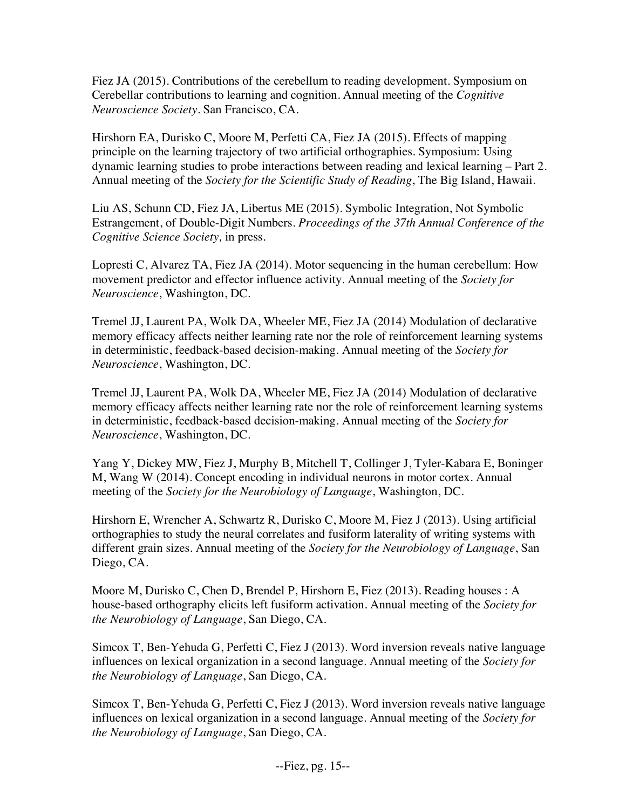Fiez JA (2015). Contributions of the cerebellum to reading development. Symposium on Cerebellar contributions to learning and cognition. Annual meeting of the *Cognitive Neuroscience Society*. San Francisco, CA.

Hirshorn EA, Durisko C, Moore M, Perfetti CA, Fiez JA (2015). Effects of mapping principle on the learning trajectory of two artificial orthographies. Symposium: Using dynamic learning studies to probe interactions between reading and lexical learning – Part 2. Annual meeting of the *Society for the Scientific Study of Reading*, The Big Island, Hawaii.

Liu AS, Schunn CD, Fiez JA, Libertus ME (2015). Symbolic Integration, Not Symbolic Estrangement, of Double-Digit Numbers. *Proceedings of the 37th Annual Conference of the Cognitive Science Society,* in press.

Lopresti C, Alvarez TA, Fiez JA (2014). Motor sequencing in the human cerebellum: How movement predictor and effector influence activity. Annual meeting of the *Society for Neuroscience*, Washington, DC.

Tremel JJ, Laurent PA, Wolk DA, Wheeler ME, Fiez JA (2014) Modulation of declarative memory efficacy affects neither learning rate nor the role of reinforcement learning systems in deterministic, feedback-based decision-making. Annual meeting of the *Society for Neuroscience*, Washington, DC.

Tremel JJ, Laurent PA, Wolk DA, Wheeler ME, Fiez JA (2014) Modulation of declarative memory efficacy affects neither learning rate nor the role of reinforcement learning systems in deterministic, feedback-based decision-making. Annual meeting of the *Society for Neuroscience*, Washington, DC.

Yang Y, Dickey MW, Fiez J, Murphy B, Mitchell T, Collinger J, Tyler-Kabara E, Boninger M, Wang W (2014). Concept encoding in individual neurons in motor cortex. Annual meeting of the *Society for the Neurobiology of Language*, Washington, DC.

Hirshorn E, Wrencher A, Schwartz R, Durisko C, Moore M, Fiez J (2013). Using artificial orthographies to study the neural correlates and fusiform laterality of writing systems with different grain sizes. Annual meeting of the *Society for the Neurobiology of Language*, San Diego, CA.

Moore M, Durisko C, Chen D, Brendel P, Hirshorn E, Fiez (2013). Reading houses : A house-based orthography elicits left fusiform activation. Annual meeting of the *Society for the Neurobiology of Language*, San Diego, CA.

Simcox T, Ben-Yehuda G, Perfetti C, Fiez J (2013). Word inversion reveals native language influences on lexical organization in a second language. Annual meeting of the *Society for the Neurobiology of Language*, San Diego, CA.

Simcox T, Ben-Yehuda G, Perfetti C, Fiez J (2013). Word inversion reveals native language influences on lexical organization in a second language. Annual meeting of the *Society for the Neurobiology of Language*, San Diego, CA.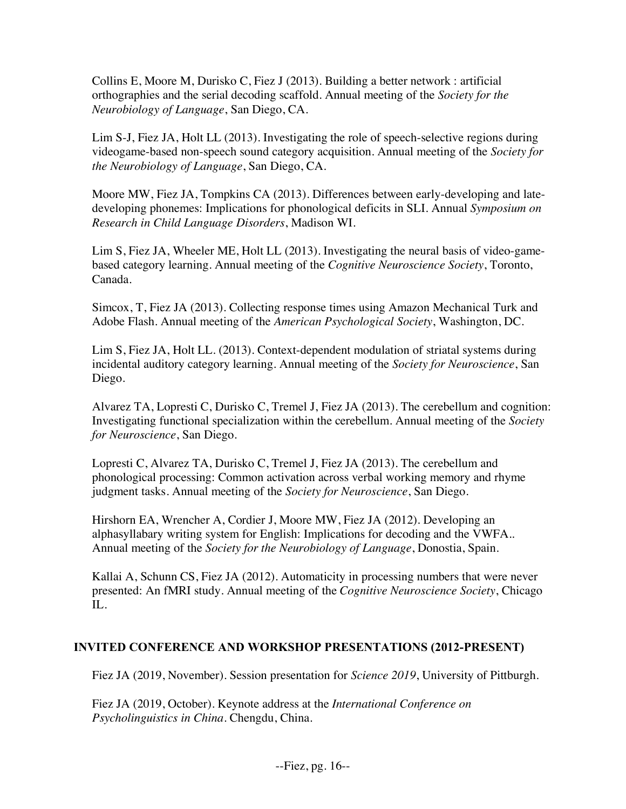Collins E, Moore M, Durisko C, Fiez J (2013). Building a better network : artificial orthographies and the serial decoding scaffold. Annual meeting of the *Society for the Neurobiology of Language*, San Diego, CA.

Lim S-J, Fiez JA, Holt LL (2013). Investigating the role of speech-selective regions during videogame-based non-speech sound category acquisition. Annual meeting of the *Society for the Neurobiology of Language*, San Diego, CA.

Moore MW, Fiez JA, Tompkins CA (2013). Differences between early-developing and latedeveloping phonemes: Implications for phonological deficits in SLI. Annual *Symposium on Research in Child Language Disorders*, Madison WI.

Lim S, Fiez JA, Wheeler ME, Holt LL (2013). Investigating the neural basis of video-gamebased category learning. Annual meeting of the *Cognitive Neuroscience Society*, Toronto, Canada.

Simcox, T, Fiez JA (2013). Collecting response times using Amazon Mechanical Turk and Adobe Flash. Annual meeting of the *American Psychological Society*, Washington, DC.

Lim S, Fiez JA, Holt LL. (2013). Context-dependent modulation of striatal systems during incidental auditory category learning. Annual meeting of the *Society for Neuroscience*, San Diego.

Alvarez TA, Lopresti C, Durisko C, Tremel J, Fiez JA (2013). The cerebellum and cognition: Investigating functional specialization within the cerebellum. Annual meeting of the *Society for Neuroscience*, San Diego.

Lopresti C, Alvarez TA, Durisko C, Tremel J, Fiez JA (2013). The cerebellum and phonological processing: Common activation across verbal working memory and rhyme judgment tasks. Annual meeting of the *Society for Neuroscience*, San Diego.

Hirshorn EA, Wrencher A, Cordier J, Moore MW, Fiez JA (2012). Developing an alphasyllabary writing system for English: Implications for decoding and the VWFA.. Annual meeting of the *Society for the Neurobiology of Language*, Donostia, Spain.

Kallai A, Schunn CS, Fiez JA (2012). Automaticity in processing numbers that were never presented: An fMRI study. Annual meeting of the *Cognitive Neuroscience Society*, Chicago IL.

# **INVITED CONFERENCE AND WORKSHOP PRESENTATIONS (2012-PRESENT)**

Fiez JA (2019, November). Session presentation for *Science 2019*, University of Pittburgh.

Fiez JA (2019, October). Keynote address at the *International Conference on Psycholinguistics in China*. Chengdu, China.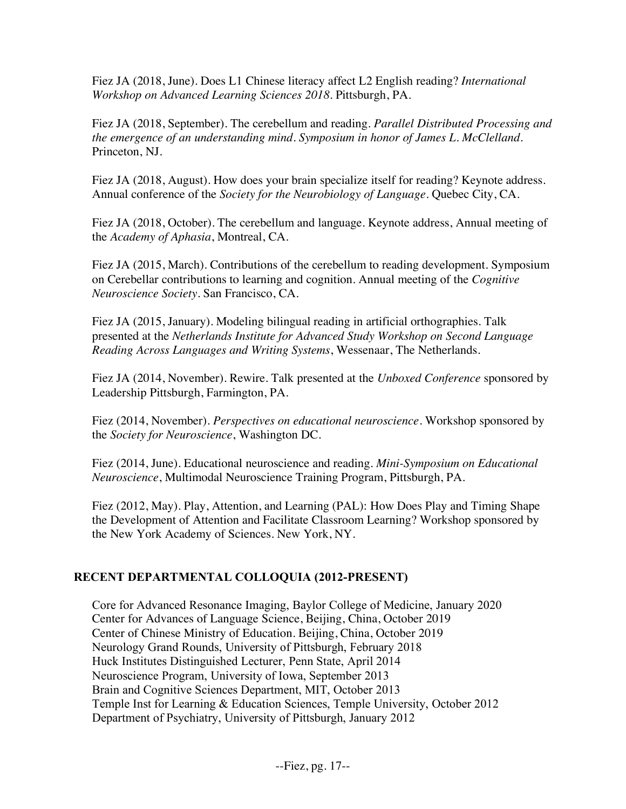Fiez JA (2018, June). Does L1 Chinese literacy affect L2 English reading? *International Workshop on Advanced Learning Sciences 2018*. Pittsburgh, PA.

Fiez JA (2018, September). The cerebellum and reading. *Parallel Distributed Processing and the emergence of an understanding mind*. *Symposium in honor of James L. McClelland.* Princeton, NJ.

Fiez JA (2018, August). How does your brain specialize itself for reading? Keynote address. Annual conference of the *Society for the Neurobiology of Language*. Quebec City, CA.

Fiez JA (2018, October). The cerebellum and language. Keynote address, Annual meeting of the *Academy of Aphasia*, Montreal, CA.

Fiez JA (2015, March). Contributions of the cerebellum to reading development. Symposium on Cerebellar contributions to learning and cognition. Annual meeting of the *Cognitive Neuroscience Society*. San Francisco, CA.

Fiez JA (2015, January). Modeling bilingual reading in artificial orthographies. Talk presented at the *Netherlands Institute for Advanced Study Workshop on Second Language Reading Across Languages and Writing Systems*, Wessenaar, The Netherlands.

Fiez JA (2014, November). Rewire. Talk presented at the *Unboxed Conference* sponsored by Leadership Pittsburgh, Farmington, PA.

Fiez (2014, November). *Perspectives on educational neuroscience*. Workshop sponsored by the *Society for Neuroscience*, Washington DC.

Fiez (2014, June). Educational neuroscience and reading. *Mini-Symposium on Educational Neuroscience*, Multimodal Neuroscience Training Program, Pittsburgh, PA.

Fiez (2012, May). Play, Attention, and Learning (PAL): How Does Play and Timing Shape the Development of Attention and Facilitate Classroom Learning? Workshop sponsored by the New York Academy of Sciences. New York, NY.

# **RECENT DEPARTMENTAL COLLOQUIA (2012-PRESENT)**

Core for Advanced Resonance Imaging, Baylor College of Medicine, January 2020 Center for Advances of Language Science, Beijing, China, October 2019 Center of Chinese Ministry of Education. Beijing, China, October 2019 Neurology Grand Rounds, University of Pittsburgh, February 2018 Huck Institutes Distinguished Lecturer, Penn State, April 2014 Neuroscience Program, University of Iowa, September 2013 Brain and Cognitive Sciences Department, MIT, October 2013 Temple Inst for Learning & Education Sciences, Temple University, October 2012 Department of Psychiatry, University of Pittsburgh, January 2012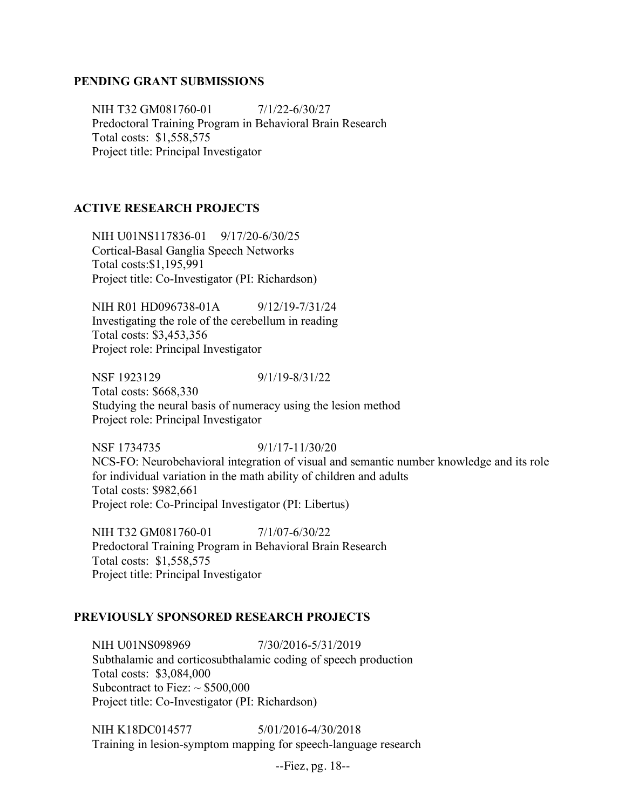### **PENDING GRANT SUBMISSIONS**

NIH T32 GM081760-01  $7/1/22 - 6/30/27$ Predoctoral Training Program in Behavioral Brain Research Total costs: \$1,558,575 Project title: Principal Investigator

### **ACTIVE RESEARCH PROJECTS**

NIH U01NS117836-01 9/17/20-6/30/25 Cortical-Basal Ganglia Speech Networks Total costs:\$1,195,991 Project title: Co-Investigator (PI: Richardson)

NIH R01 HD096738-01A 9/12/19-7/31/24 Investigating the role of the cerebellum in reading Total costs: \$3,453,356 Project role: Principal Investigator

NSF 1923129 9/1/19-8/31/22 Total costs: \$668,330 Studying the neural basis of numeracy using the lesion method Project role: Principal Investigator

NSF 1734735 9/1/17-11/30/20 NCS-FO: Neurobehavioral integration of visual and semantic number knowledge and its role for individual variation in the math ability of children and adults Total costs: \$982,661 Project role: Co-Principal Investigator (PI: Libertus)

NIH T32 GM081760-01  $7/1/07 - 6/30/22$ Predoctoral Training Program in Behavioral Brain Research Total costs: \$1,558,575 Project title: Principal Investigator

#### **PREVIOUSLY SPONSORED RESEARCH PROJECTS**

NIH U01NS098969 7/30/2016-5/31/2019 Subthalamic and corticosubthalamic coding of speech production Total costs: \$3,084,000 Subcontract to Fiez:  $\sim$  \$500,000 Project title: Co-Investigator (PI: Richardson)

NIH K18DC014577 5/01/2016-4/30/2018 Training in lesion-symptom mapping for speech-language research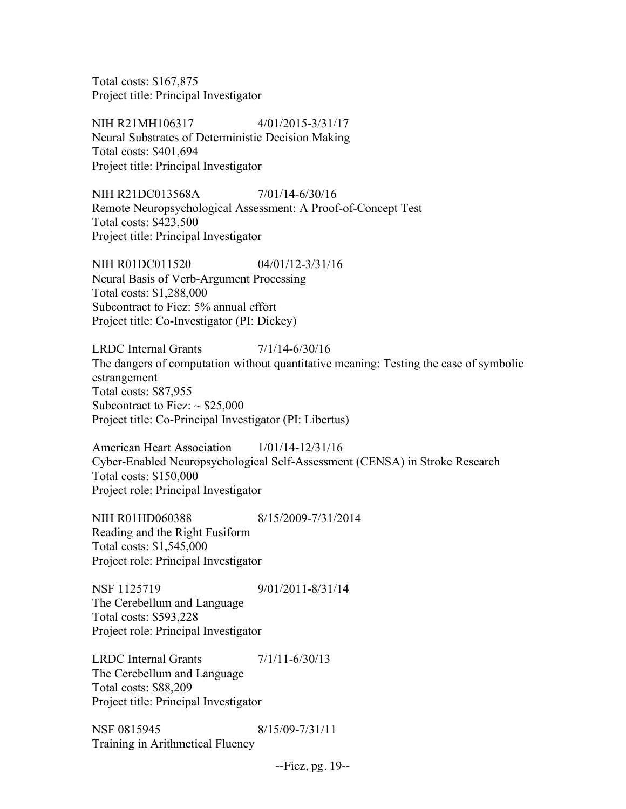Total costs: \$167,875 Project title: Principal Investigator

NIH R21MH106317 4/01/2015-3/31/17 Neural Substrates of Deterministic Decision Making Total costs: \$401,694 Project title: Principal Investigator

NIH R21DC013568A 7/01/14-6/30/16 Remote Neuropsychological Assessment: A Proof-of-Concept Test Total costs: \$423,500 Project title: Principal Investigator

NIH R01DC011520 04/01/12-3/31/16 Neural Basis of Verb-Argument Processing Total costs: \$1,288,000 Subcontract to Fiez: 5% annual effort Project title: Co-Investigator (PI: Dickey)

LRDC Internal Grants 7/1/14-6/30/16 The dangers of computation without quantitative meaning: Testing the case of symbolic estrangement Total costs: \$87,955 Subcontract to Fiez:  $\sim$  \$25,000 Project title: Co-Principal Investigator (PI: Libertus)

American Heart Association 1/01/14-12/31/16 Cyber-Enabled Neuropsychological Self-Assessment (CENSA) in Stroke Research Total costs: \$150,000 Project role: Principal Investigator

NIH R01HD060388 8/15/2009-7/31/2014 Reading and the Right Fusiform Total costs: \$1,545,000 Project role: Principal Investigator

NSF 1125719 9/01/2011-8/31/14 The Cerebellum and Language Total costs: \$593,228 Project role: Principal Investigator

LRDC Internal Grants 7/1/11-6/30/13 The Cerebellum and Language Total costs: \$88,209 Project title: Principal Investigator

NSF 0815945 8/15/09-7/31/11 Training in Arithmetical Fluency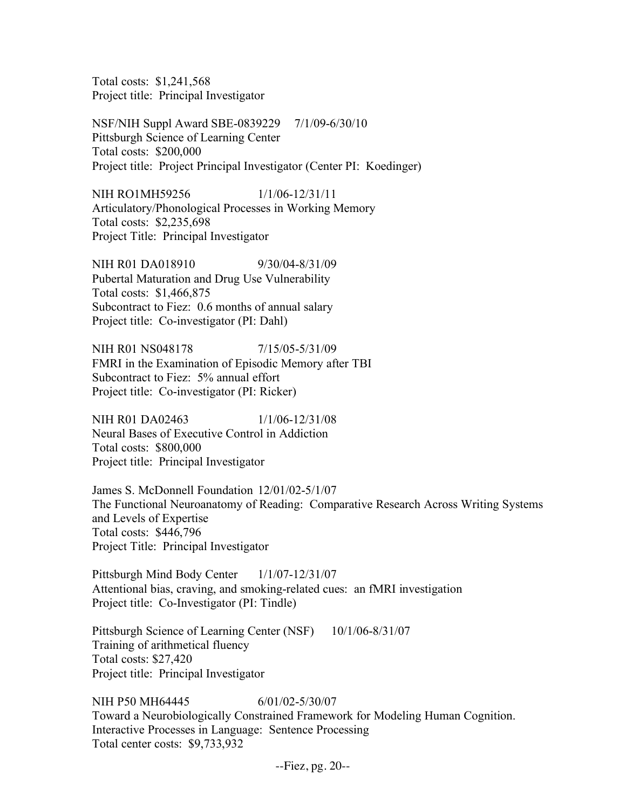Total costs: \$1,241,568 Project title: Principal Investigator

NSF/NIH Suppl Award SBE-0839229 7/1/09-6/30/10 Pittsburgh Science of Learning Center Total costs: \$200,000 Project title: Project Principal Investigator (Center PI: Koedinger)

NIH RO1MH59256 1/1/06-12/31/11 Articulatory/Phonological Processes in Working Memory Total costs: \$2,235,698 Project Title: Principal Investigator

NIH R01 DA018910 9/30/04-8/31/09 Pubertal Maturation and Drug Use Vulnerability Total costs: \$1,466,875 Subcontract to Fiez: 0.6 months of annual salary Project title: Co-investigator (PI: Dahl)

NIH R01 NS048178 7/15/05-5/31/09 FMRI in the Examination of Episodic Memory after TBI Subcontract to Fiez: 5% annual effort Project title: Co-investigator (PI: Ricker)

NIH R01 DA02463 1/1/06-12/31/08 Neural Bases of Executive Control in Addiction Total costs: \$800,000 Project title: Principal Investigator

James S. McDonnell Foundation 12/01/02-5/1/07 The Functional Neuroanatomy of Reading: Comparative Research Across Writing Systems and Levels of Expertise Total costs: \$446,796 Project Title: Principal Investigator

Pittsburgh Mind Body Center 1/1/07-12/31/07 Attentional bias, craving, and smoking-related cues: an fMRI investigation Project title: Co-Investigator (PI: Tindle)

Pittsburgh Science of Learning Center (NSF) 10/1/06-8/31/07 Training of arithmetical fluency Total costs: \$27,420 Project title: Principal Investigator

NIH P50 MH64445 6/01/02-5/30/07 Toward a Neurobiologically Constrained Framework for Modeling Human Cognition. Interactive Processes in Language: Sentence Processing Total center costs: \$9,733,932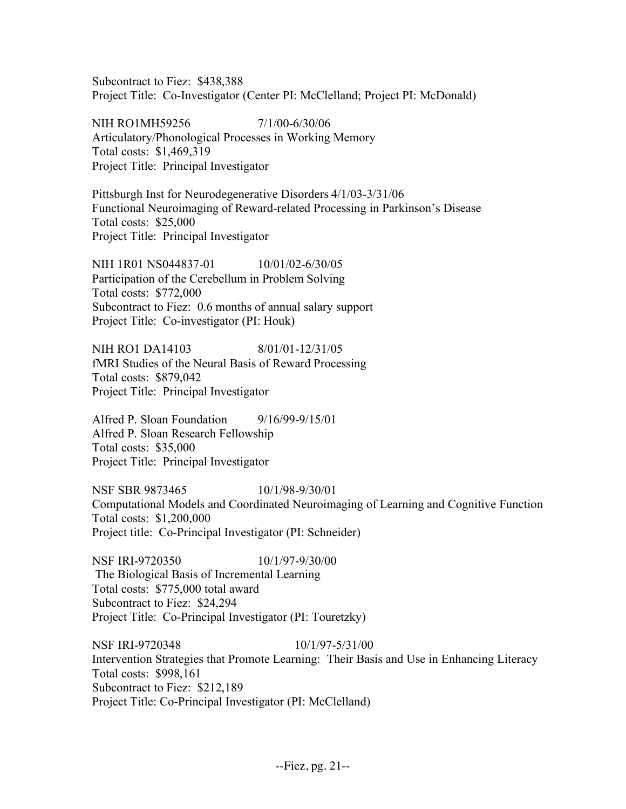Subcontract to Fiez: \$438,388 Project Title: Co-Investigator (Center PI: McClelland; Project PI: McDonald)

NIH RO1MH59256 7/1/00-6/30/06 Articulatory/Phonological Processes in Working Memory Total costs: \$1,469,319 Project Title: Principal Investigator

Pittsburgh Inst for Neurodegenerative Disorders 4/1/03-3/31/06 Functional Neuroimaging of Reward-related Processing in Parkinson's Disease Total costs: \$25,000 Project Title: Principal Investigator

NIH 1R01 NS044837-01 10/01/02-6/30/05 Participation of the Cerebellum in Problem Solving Total costs: \$772,000 Subcontract to Fiez: 0.6 months of annual salary support Project Title: Co-investigator (PI: Houk)

NIH RO1 DA14103 8/01/01-12/31/05 fMRI Studies of the Neural Basis of Reward Processing Total costs: \$879,042 Project Title: Principal Investigator

Alfred P. Sloan Foundation 9/16/99-9/15/01 Alfred P. Sloan Research Fellowship Total costs: \$35,000 Project Title: Principal Investigator

NSF SBR 9873465 10/1/98-9/30/01 Computational Models and Coordinated Neuroimaging of Learning and Cognitive Function Total costs: \$1,200,000 Project title: Co-Principal Investigator (PI: Schneider)

NSF IRI-9720350 10/1/97-9/30/00 The Biological Basis of Incremental Learning Total costs: \$775,000 total award Subcontract to Fiez: \$24,294 Project Title: Co-Principal Investigator (PI: Touretzky)

NSF IRI-9720348 10/1/97-5/31/00 Intervention Strategies that Promote Learning: Their Basis and Use in Enhancing Literacy Total costs: \$998,161 Subcontract to Fiez: \$212,189 Project Title: Co-Principal Investigator (PI: McClelland)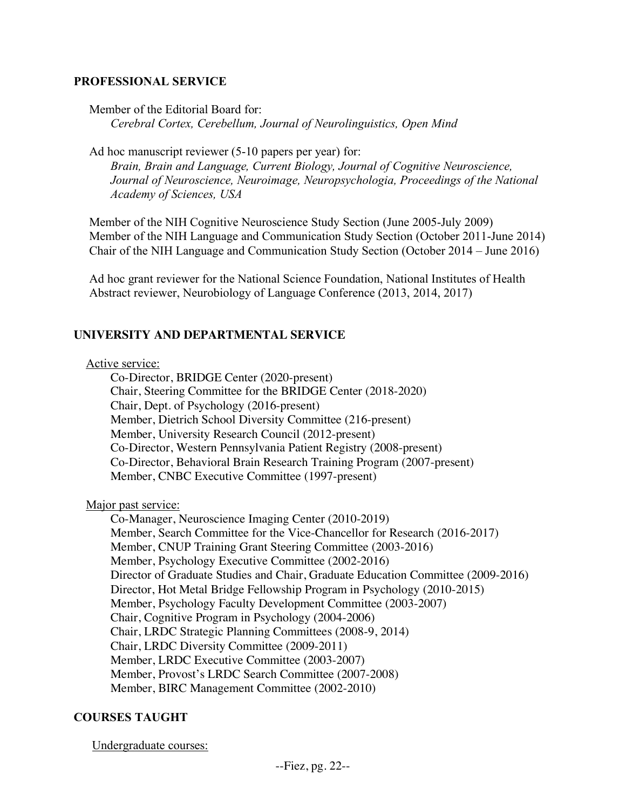### **PROFESSIONAL SERVICE**

Member of the Editorial Board for:

*Cerebral Cortex, Cerebellum, Journal of Neurolinguistics, Open Mind*

Ad hoc manuscript reviewer (5-10 papers per year) for:

*Brain, Brain and Language, Current Biology, Journal of Cognitive Neuroscience, Journal of Neuroscience, Neuroimage, Neuropsychologia, Proceedings of the National Academy of Sciences, USA*

 Member of the NIH Cognitive Neuroscience Study Section (June 2005-July 2009) Member of the NIH Language and Communication Study Section (October 2011-June 2014) Chair of the NIH Language and Communication Study Section (October 2014 – June 2016)

 Ad hoc grant reviewer for the National Science Foundation, National Institutes of Health Abstract reviewer, Neurobiology of Language Conference (2013, 2014, 2017)

### **UNIVERSITY AND DEPARTMENTAL SERVICE**

#### Active service:

Co-Director, BRIDGE Center (2020-present) Chair, Steering Committee for the BRIDGE Center (2018-2020) Chair, Dept. of Psychology (2016-present) Member, Dietrich School Diversity Committee (216-present) Member, University Research Council (2012-present) Co-Director, Western Pennsylvania Patient Registry (2008-present) Co-Director, Behavioral Brain Research Training Program (2007-present) Member, CNBC Executive Committee (1997-present)

Major past service:

Co-Manager, Neuroscience Imaging Center (2010-2019) Member, Search Committee for the Vice-Chancellor for Research (2016-2017) Member, CNUP Training Grant Steering Committee (2003-2016) Member, Psychology Executive Committee (2002-2016) Director of Graduate Studies and Chair, Graduate Education Committee (2009-2016) Director, Hot Metal Bridge Fellowship Program in Psychology (2010-2015) Member, Psychology Faculty Development Committee (2003-2007) Chair, Cognitive Program in Psychology (2004-2006) Chair, LRDC Strategic Planning Committees (2008-9, 2014) Chair, LRDC Diversity Committee (2009-2011) Member, LRDC Executive Committee (2003-2007) Member, Provost's LRDC Search Committee (2007-2008) Member, BIRC Management Committee (2002-2010)

# **COURSES TAUGHT**

Undergraduate courses: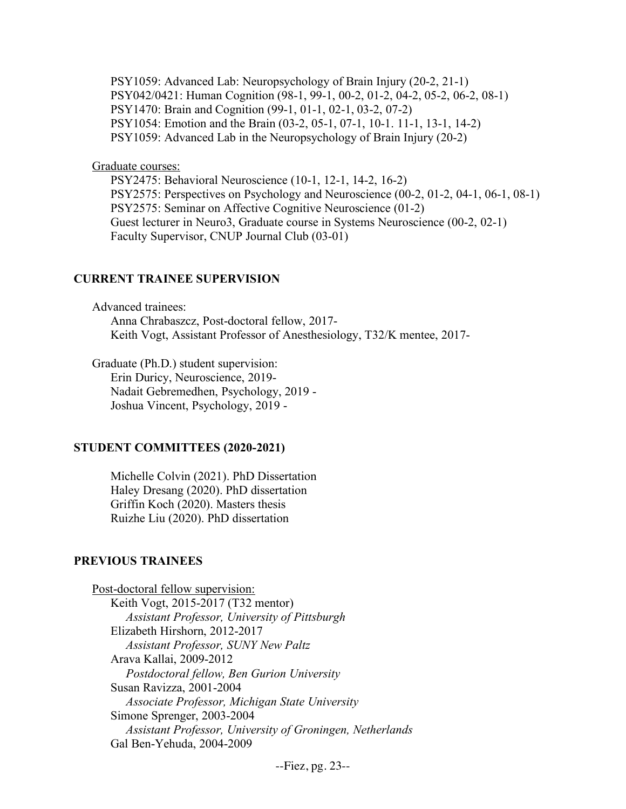PSY1059: Advanced Lab: Neuropsychology of Brain Injury (20-2, 21-1) PSY042/0421: Human Cognition (98-1, 99-1, 00-2, 01-2, 04-2, 05-2, 06-2, 08-1) PSY1470: Brain and Cognition (99-1, 01-1, 02-1, 03-2, 07-2) PSY1054: Emotion and the Brain (03-2, 05-1, 07-1, 10-1. 11-1, 13-1, 14-2) PSY1059: Advanced Lab in the Neuropsychology of Brain Injury (20-2)

Graduate courses:

PSY2475: Behavioral Neuroscience (10-1, 12-1, 14-2, 16-2) PSY2575: Perspectives on Psychology and Neuroscience (00-2, 01-2, 04-1, 06-1, 08-1) PSY2575: Seminar on Affective Cognitive Neuroscience (01-2) Guest lecturer in Neuro3, Graduate course in Systems Neuroscience (00-2, 02-1) Faculty Supervisor, CNUP Journal Club (03-01)

### **CURRENT TRAINEE SUPERVISION**

Advanced trainees:

Anna Chrabaszcz, Post-doctoral fellow, 2017- Keith Vogt, Assistant Professor of Anesthesiology, T32/K mentee, 2017-

Graduate (Ph.D.) student supervision: Erin Duricy, Neuroscience, 2019- Nadait Gebremedhen, Psychology, 2019 - Joshua Vincent, Psychology, 2019 -

#### **STUDENT COMMITTEES (2020-2021)**

Michelle Colvin (2021). PhD Dissertation Haley Dresang (2020). PhD dissertation Griffin Koch (2020). Masters thesis Ruizhe Liu (2020). PhD dissertation

#### **PREVIOUS TRAINEES**

Post-doctoral fellow supervision: Keith Vogt, 2015-2017 (T32 mentor)  *Assistant Professor, University of Pittsburgh* Elizabeth Hirshorn, 2012-2017  *Assistant Professor, SUNY New Paltz* Arava Kallai, 2009-2012  *Postdoctoral fellow, Ben Gurion University* Susan Ravizza, 2001-2004  *Associate Professor, Michigan State University* Simone Sprenger, 2003-2004  *Assistant Professor, University of Groningen, Netherlands* Gal Ben-Yehuda, 2004-2009